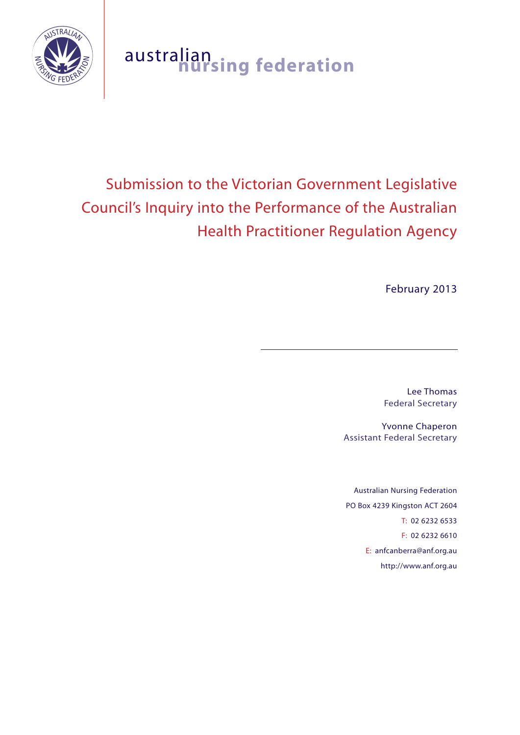

# australian **nursing federation**

# Submission to the Victorian Government Legislative Council's Inquiry into the Performance of the Australian Health Practitioner Regulation Agency

February 2013

Lee Thomas Federal Secretary

Yvonne Chaperon Assistant Federal Secretary

Australian Nursing Federation PO Box 4239 Kingston ACT 2604 T: 02 6232 6533 F: 02 6232 6610 E: anfcanberra@anf.org.au http://www.anf.org.au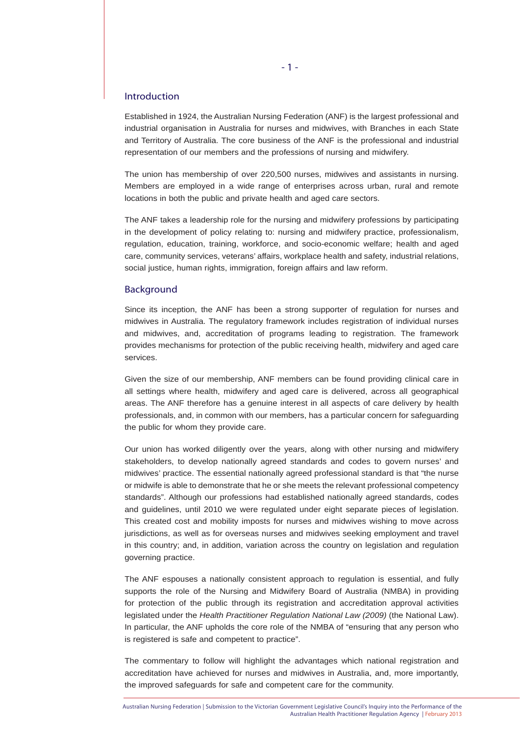#### Introduction

Established in 1924, the Australian Nursing Federation (ANF) is the largest professional and industrial organisation in Australia for nurses and midwives, with Branches in each State and Territory of Australia. The core business of the ANF is the professional and industrial representation of our members and the professions of nursing and midwifery.

The union has membership of over 220,500 nurses, midwives and assistants in nursing. Members are employed in a wide range of enterprises across urban, rural and remote locations in both the public and private health and aged care sectors.

The ANF takes a leadership role for the nursing and midwifery professions by participating in the development of policy relating to: nursing and midwifery practice, professionalism, regulation, education, training, workforce, and socio-economic welfare; health and aged care, community services, veterans' affairs, workplace health and safety, industrial relations, social justice, human rights, immigration, foreign affairs and law reform.

#### Background

Since its inception, the ANF has been a strong supporter of regulation for nurses and midwives in Australia. The regulatory framework includes registration of individual nurses and midwives, and, accreditation of programs leading to registration. The framework provides mechanisms for protection of the public receiving health, midwifery and aged care services.

Given the size of our membership, ANF members can be found providing clinical care in all settings where health, midwifery and aged care is delivered, across all geographical areas. The ANF therefore has a genuine interest in all aspects of care delivery by health professionals, and, in common with our members, has a particular concern for safeguarding the public for whom they provide care.

Our union has worked diligently over the years, along with other nursing and midwifery stakeholders, to develop nationally agreed standards and codes to govern nurses' and midwives' practice. The essential nationally agreed professional standard is that "the nurse or midwife is able to demonstrate that he or she meets the relevant professional competency standards". Although our professions had established nationally agreed standards, codes and guidelines, until 2010 we were regulated under eight separate pieces of legislation. This created cost and mobility imposts for nurses and midwives wishing to move across jurisdictions, as well as for overseas nurses and midwives seeking employment and travel in this country; and, in addition, variation across the country on legislation and regulation governing practice.

The ANF espouses a nationally consistent approach to regulation is essential, and fully supports the role of the Nursing and Midwifery Board of Australia (NMBA) in providing for protection of the public through its registration and accreditation approval activities legislated under the *Health Practitioner Regulation National Law (2009)* (the National Law). In particular, the ANF upholds the core role of the NMBA of "ensuring that any person who is registered is safe and competent to practice".

The commentary to follow will highlight the advantages which national registration and accreditation have achieved for nurses and midwives in Australia, and, more importantly, the improved safeguards for safe and competent care for the community.

Australian Nursing Federation | Submission to the Victorian Government Legislative Council's Inquiry into the Performance of the Australian Health Practitioner Regulation Agency | February 2013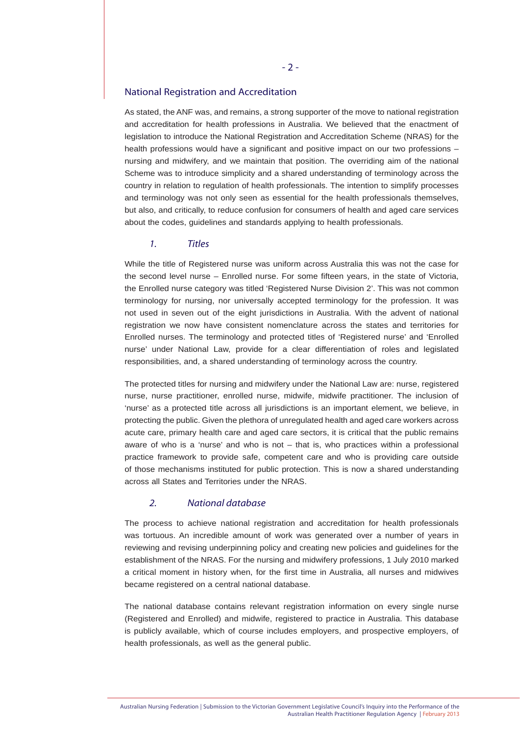### National Registration and Accreditation

As stated, the ANF was, and remains, a strong supporter of the move to national registration and accreditation for health professions in Australia. We believed that the enactment of legislation to introduce the National Registration and Accreditation Scheme (NRAS) for the health professions would have a significant and positive impact on our two professions – nursing and midwifery, and we maintain that position. The overriding aim of the national Scheme was to introduce simplicity and a shared understanding of terminology across the country in relation to regulation of health professionals. The intention to simplify processes and terminology was not only seen as essential for the health professionals themselves, but also, and critically, to reduce confusion for consumers of health and aged care services about the codes, guidelines and standards applying to health professionals.

# *1. Titles*

While the title of Registered nurse was uniform across Australia this was not the case for the second level nurse – Enrolled nurse. For some fifteen years, in the state of Victoria, the Enrolled nurse category was titled 'Registered Nurse Division 2'. This was not common terminology for nursing, nor universally accepted terminology for the profession. It was not used in seven out of the eight jurisdictions in Australia. With the advent of national registration we now have consistent nomenclature across the states and territories for Enrolled nurses. The terminology and protected titles of 'Registered nurse' and 'Enrolled nurse' under National Law, provide for a clear differentiation of roles and legislated responsibilities, and, a shared understanding of terminology across the country.

The protected titles for nursing and midwifery under the National Law are: nurse, registered nurse, nurse practitioner, enrolled nurse, midwife, midwife practitioner. The inclusion of 'nurse' as a protected title across all jurisdictions is an important element, we believe, in protecting the public. Given the plethora of unregulated health and aged care workers across acute care, primary health care and aged care sectors, it is critical that the public remains aware of who is a 'nurse' and who is not – that is, who practices within a professional practice framework to provide safe, competent care and who is providing care outside of those mechanisms instituted for public protection. This is now a shared understanding across all States and Territories under the NRAS.

# *2. National database*

The process to achieve national registration and accreditation for health professionals was tortuous. An incredible amount of work was generated over a number of years in reviewing and revising underpinning policy and creating new policies and guidelines for the establishment of the NRAS. For the nursing and midwifery professions, 1 July 2010 marked a critical moment in history when, for the first time in Australia, all nurses and midwives became registered on a central national database.

The national database contains relevant registration information on every single nurse (Registered and Enrolled) and midwife, registered to practice in Australia. This database is publicly available, which of course includes employers, and prospective employers, of health professionals, as well as the general public.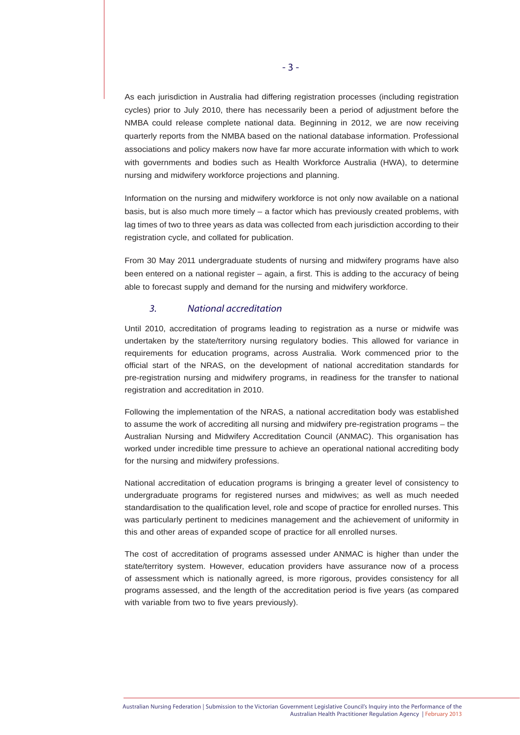As each jurisdiction in Australia had differing registration processes (including registration cycles) prior to July 2010, there has necessarily been a period of adjustment before the NMBA could release complete national data. Beginning in 2012, we are now receiving quarterly reports from the NMBA based on the national database information. Professional associations and policy makers now have far more accurate information with which to work with governments and bodies such as Health Workforce Australia (HWA), to determine nursing and midwifery workforce projections and planning.

Information on the nursing and midwifery workforce is not only now available on a national basis, but is also much more timely – a factor which has previously created problems, with lag times of two to three years as data was collected from each jurisdiction according to their registration cycle, and collated for publication.

From 30 May 2011 undergraduate students of nursing and midwifery programs have also been entered on a national register – again, a first. This is adding to the accuracy of being able to forecast supply and demand for the nursing and midwifery workforce.

## *3. National accreditation*

Until 2010, accreditation of programs leading to registration as a nurse or midwife was undertaken by the state/territory nursing regulatory bodies. This allowed for variance in requirements for education programs, across Australia. Work commenced prior to the official start of the NRAS, on the development of national accreditation standards for pre-registration nursing and midwifery programs, in readiness for the transfer to national registration and accreditation in 2010.

Following the implementation of the NRAS, a national accreditation body was established to assume the work of accrediting all nursing and midwifery pre-registration programs – the Australian Nursing and Midwifery Accreditation Council (ANMAC). This organisation has worked under incredible time pressure to achieve an operational national accrediting body for the nursing and midwifery professions.

National accreditation of education programs is bringing a greater level of consistency to undergraduate programs for registered nurses and midwives; as well as much needed standardisation to the qualification level, role and scope of practice for enrolled nurses. This was particularly pertinent to medicines management and the achievement of uniformity in this and other areas of expanded scope of practice for all enrolled nurses.

The cost of accreditation of programs assessed under ANMAC is higher than under the state/territory system. However, education providers have assurance now of a process of assessment which is nationally agreed, is more rigorous, provides consistency for all programs assessed, and the length of the accreditation period is five years (as compared with variable from two to five years previously).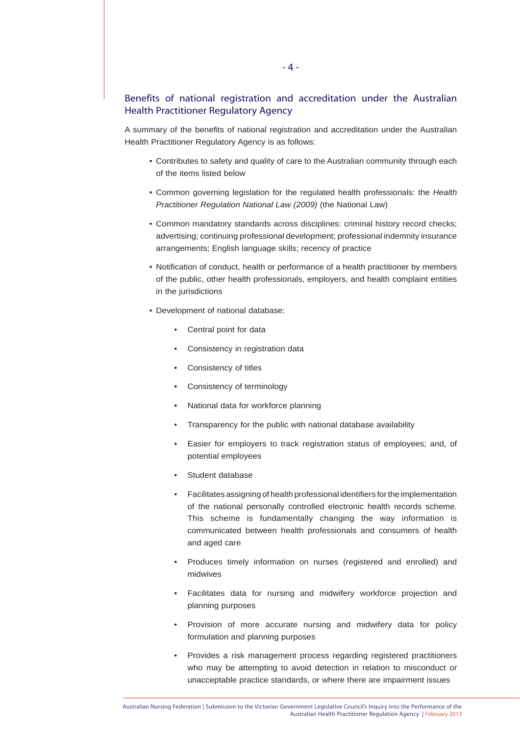# Benefits of national registration and accreditation under the Australian Health Practitioner Regulatory Agency

A summary of the benefits of national registration and accreditation under the Australian Health Practitioner Regulatory Agency is as follows:

- Contributes to safety and quality of care to the Australian community through each of the items listed below
- Common governing legislation for the regulated health professionals: the *Health Practitioner Regulation National Law (2009)* (the National Law)
- Common mandatory standards across disciplines: criminal history record checks; advertising; continuing professional development; professional indemnity insurance arrangements; English language skills; recency of practice
- Notification of conduct, health or performance of a health practitioner by members of the public, other health professionals, employers, and health complaint entities in the jurisdictions
- Development of national database:
	- Central point for data
	- Consistency in registration data
	- Consistency of titles
	- Consistency of terminology
	- National data for workforce planning
	- Transparency for the public with national database availability
	- Easier for employers to track registration status of employees; and, of potential employees
	- Student database
	- Facilitates assigning of health professional identifiers for the implementation of the national personally controlled electronic health records scheme. This scheme is fundamentally changing the way information is communicated between health professionals and consumers of health and aged care
	- Produces timely information on nurses (registered and enrolled) and midwives
	- Facilitates data for nursing and midwifery workforce projection and planning purposes
	- Provision of more accurate nursing and midwifery data for policy formulation and planning purposes
	- Provides a risk management process regarding registered practitioners who may be attempting to avoid detection in relation to misconduct or unacceptable practice standards, or where there are impairment issues

Australian Nursing Federation | Submission to the Victorian Government Legislative Council's Inquiry into the Performance of the Australian Health Practitioner Regulation Agency | February 2013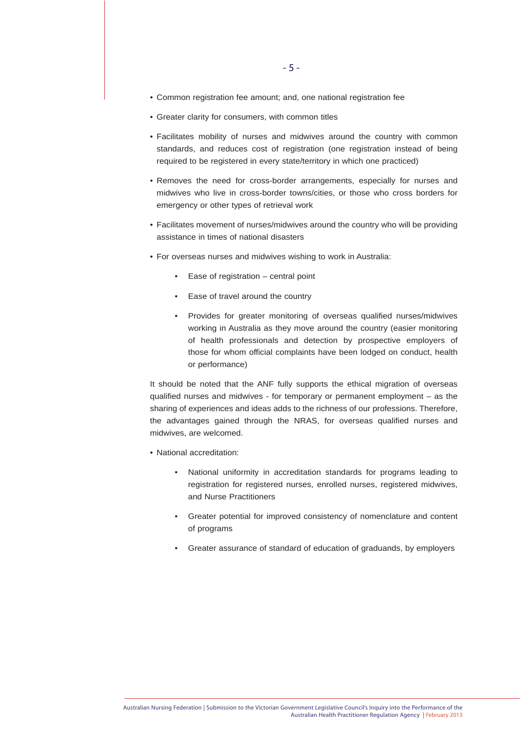- Common registration fee amount; and, one national registration fee
- Greater clarity for consumers, with common titles
- Facilitates mobility of nurses and midwives around the country with common standards, and reduces cost of registration (one registration instead of being required to be registered in every state/territory in which one practiced)
- Removes the need for cross-border arrangements, especially for nurses and midwives who live in cross-border towns/cities, or those who cross borders for emergency or other types of retrieval work
- Facilitates movement of nurses/midwives around the country who will be providing assistance in times of national disasters
- For overseas nurses and midwives wishing to work in Australia:
	- Ease of registration central point
	- Ease of travel around the country
	- Provides for greater monitoring of overseas qualified nurses/midwives working in Australia as they move around the country (easier monitoring of health professionals and detection by prospective employers of those for whom official complaints have been lodged on conduct, health or performance)

It should be noted that the ANF fully supports the ethical migration of overseas qualified nurses and midwives - for temporary or permanent employment – as the sharing of experiences and ideas adds to the richness of our professions. Therefore, the advantages gained through the NRAS, for overseas qualified nurses and midwives, are welcomed.

- National accreditation:
	- National uniformity in accreditation standards for programs leading to registration for registered nurses, enrolled nurses, registered midwives, and Nurse Practitioners
	- Greater potential for improved consistency of nomenclature and content of programs
	- Greater assurance of standard of education of graduands, by employers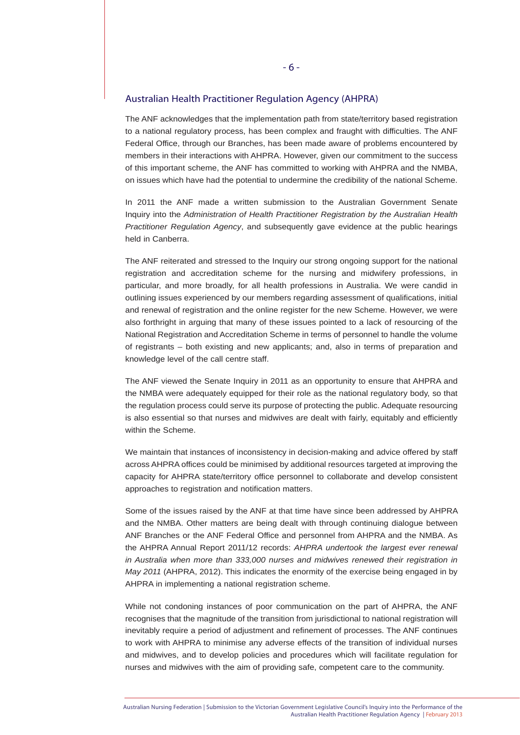#### Australian Health Practitioner Regulation Agency (AHPRA)

The ANF acknowledges that the implementation path from state/territory based registration to a national regulatory process, has been complex and fraught with difficulties. The ANF Federal Office, through our Branches, has been made aware of problems encountered by members in their interactions with AHPRA. However, given our commitment to the success of this important scheme, the ANF has committed to working with AHPRA and the NMBA, on issues which have had the potential to undermine the credibility of the national Scheme.

In 2011 the ANF made a written submission to the Australian Government Senate Inquiry into the *Administration of Health Practitioner Registration by the Australian Health Practitioner Regulation Agency*, and subsequently gave evidence at the public hearings held in Canberra.

The ANF reiterated and stressed to the Inquiry our strong ongoing support for the national registration and accreditation scheme for the nursing and midwifery professions, in particular, and more broadly, for all health professions in Australia. We were candid in outlining issues experienced by our members regarding assessment of qualifications, initial and renewal of registration and the online register for the new Scheme. However, we were also forthright in arguing that many of these issues pointed to a lack of resourcing of the National Registration and Accreditation Scheme in terms of personnel to handle the volume of registrants – both existing and new applicants; and, also in terms of preparation and knowledge level of the call centre staff.

The ANF viewed the Senate Inquiry in 2011 as an opportunity to ensure that AHPRA and the NMBA were adequately equipped for their role as the national regulatory body, so that the regulation process could serve its purpose of protecting the public. Adequate resourcing is also essential so that nurses and midwives are dealt with fairly, equitably and efficiently within the Scheme.

We maintain that instances of inconsistency in decision-making and advice offered by staff across AHPRA offices could be minimised by additional resources targeted at improving the capacity for AHPRA state/territory office personnel to collaborate and develop consistent approaches to registration and notification matters.

Some of the issues raised by the ANF at that time have since been addressed by AHPRA and the NMBA. Other matters are being dealt with through continuing dialogue between ANF Branches or the ANF Federal Office and personnel from AHPRA and the NMBA. As the AHPRA Annual Report 2011/12 records: *AHPRA undertook the largest ever renewal in Australia when more than 333,000 nurses and midwives renewed their registration in May 2011* (AHPRA, 2012). This indicates the enormity of the exercise being engaged in by AHPRA in implementing a national registration scheme.

While not condoning instances of poor communication on the part of AHPRA, the ANF recognises that the magnitude of the transition from jurisdictional to national registration will inevitably require a period of adjustment and refinement of processes. The ANF continues to work with AHPRA to minimise any adverse effects of the transition of individual nurses and midwives, and to develop policies and procedures which will facilitate regulation for nurses and midwives with the aim of providing safe, competent care to the community.